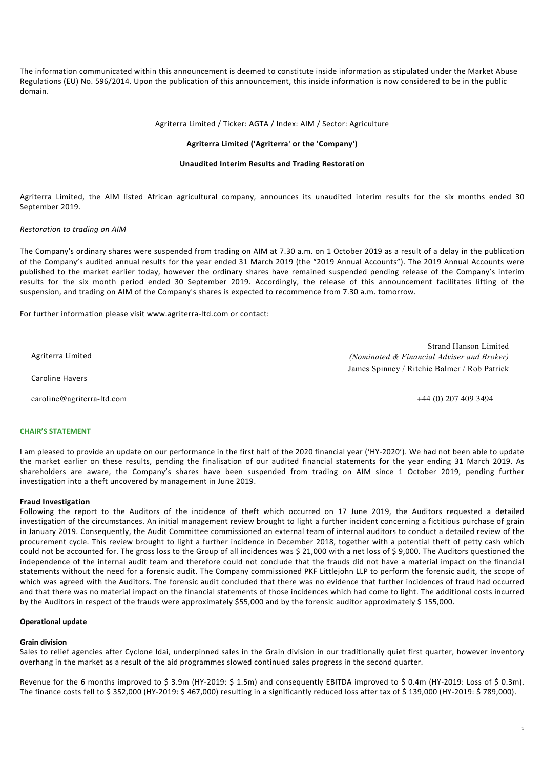The information communicated within this announcement is deemed to constitute inside information as stipulated under the Market Abuse Regulations (EU) No. 596/2014. Upon the publication of this announcement, this inside information is now considered to be in the public domain.

## Agriterra Limited / Ticker: AGTA / Index: AIM / Sector: Agriculture

### **Agriterra Limited ('Agriterra' or the 'Company')**

### **Unaudited Interim Results and Trading Restoration**

Agriterra Limited, the AIM listed African agricultural company, announces its unaudited interim results for the six months ended 30 September 2019.

### *Restoration to trading on AIM*

The Company's ordinary shares were suspended from trading on AIM at 7.30 a.m. on 1 October 2019 as a result of a delay in the publication of the Company's audited annual results for the year ended 31 March 2019 (the "2019 Annual Accounts"). The 2019 Annual Accounts were published to the market earlier today, however the ordinary shares have remained suspended pending release of the Company's interim results for the six month period ended 30 September 2019. Accordingly, the release of this announcement facilitates lifting of the suspension, and trading on AIM of the Company's shares is expected to recommence from 7.30 a.m. tomorrow.

For further information please visit www.agriterra-ltd.com or contact:

|                            | <b>Strand Hanson Limited</b>                 |
|----------------------------|----------------------------------------------|
| Agriterra Limited          | (Nominated & Financial Adviser and Broker)   |
| <b>Caroline Havers</b>     | James Spinney / Ritchie Balmer / Rob Patrick |
| caroline@agriterra-ltd.com | $+44(0)$ 207 409 3494                        |

#### **CHAIR'S STATEMENT**

I am pleased to provide an update on our performance in the first half of the 2020 financial year ('HY-2020'). We had not been able to update the market earlier on these results, pending the finalisation of our audited financial statements for the year ending 31 March 2019. As shareholders are aware, the Company's shares have been suspended from trading on AIM since 1 October 2019, pending further investigation into a theft uncovered by management in June 2019.

### **Fraud Investigation**

Following the report to the Auditors of the incidence of theft which occurred on 17 June 2019, the Auditors requested a detailed investigation of the circumstances. An initial management review brought to light a further incident concerning a fictitious purchase of grain in January 2019. Consequently, the Audit Committee commissioned an external team of internal auditors to conduct a detailed review of the procurement cycle. This review brought to light a further incidence in December 2018, together with a potential theft of petty cash which could not be accounted for. The gross loss to the Group of all incidences was \$ 21,000 with a net loss of \$ 9,000. The Auditors questioned the independence of the internal audit team and therefore could not conclude that the frauds did not have a material impact on the financial statements without the need for a forensic audit. The Company commissioned PKF Littlejohn LLP to perform the forensic audit, the scope of which was agreed with the Auditors. The forensic audit concluded that there was no evidence that further incidences of fraud had occurred and that there was no material impact on the financial statements of those incidences which had come to light. The additional costs incurred by the Auditors in respect of the frauds were approximately \$55,000 and by the forensic auditor approximately \$155,000.

### **Operational update**

### **Grain division**

Sales to relief agencies after Cyclone Idai, underpinned sales in the Grain division in our traditionally quiet first quarter, however inventory overhang in the market as a result of the aid programmes slowed continued sales progress in the second quarter.

Revenue for the 6 months improved to \$ 3.9m (HY-2019: \$ 1.5m) and consequently EBITDA improved to \$ 0.4m (HY-2019: Loss of \$ 0.3m). The finance costs fell to \$ 352,000 (HY-2019: \$ 467,000) resulting in a significantly reduced loss after tax of \$ 139,000 (HY-2019: \$ 789,000).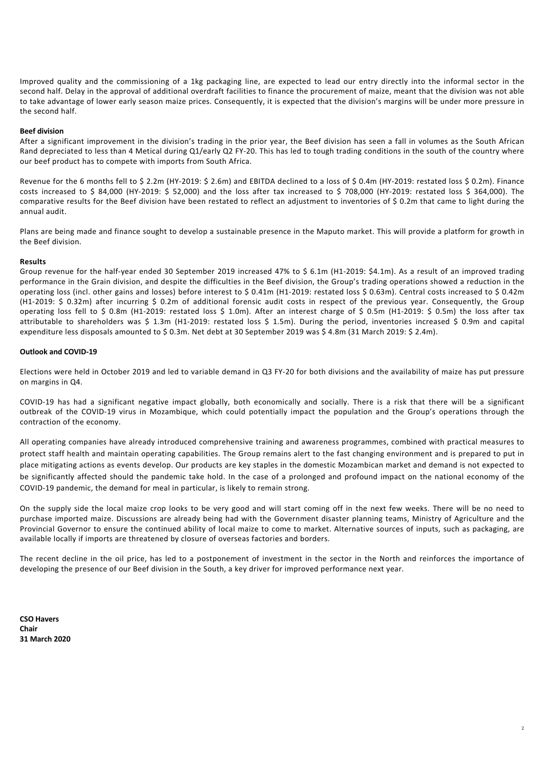Improved quality and the commissioning of a 1kg packaging line, are expected to lead our entry directly into the informal sector in the second half. Delay in the approval of additional overdraft facilities to finance the procurement of maize, meant that the division was not able to take advantage of lower early season maize prices. Consequently, it is expected that the division's margins will be under more pressure in the second half.

### **Beef division**

After a significant improvement in the division's trading in the prior year, the Beef division has seen a fall in volumes as the South African Rand depreciated to less than 4 Metical during Q1/early Q2 FY-20. This has led to tough trading conditions in the south of the country where our beef product has to compete with imports from South Africa.

Revenue for the 6 months fell to \$ 2.2m (HY-2019: \$ 2.6m) and EBITDA declined to a loss of \$ 0.4m (HY-2019: restated loss \$ 0.2m). Finance costs increased to \$ 84,000 (HY-2019: \$ 52,000) and the loss after tax increased to \$ 708,000 (HY-2019: restated loss \$ 364,000). The comparative results for the Beef division have been restated to reflect an adjustment to inventories of \$ 0.2m that came to light during the annual audit.

Plans are being made and finance sought to develop a sustainable presence in the Maputo market. This will provide a platform for growth in the Beef division.

### **Results**

Group revenue for the half-year ended 30 September 2019 increased 47% to \$ 6.1m (H1-2019: \$4.1m). As a result of an improved trading performance in the Grain division, and despite the difficulties in the Beef division, the Group's trading operations showed a reduction in the operating loss (incl. other gains and losses) before interest to \$ 0.41m (H1-2019: restated loss \$ 0.63m). Central costs increased to \$ 0.42m (H1-2019: \$ 0.32m) after incurring \$ 0.2m of additional forensic audit costs in respect of the previous year. Consequently, the Group operating loss fell to \$ 0.8m (H1-2019: restated loss \$ 1.0m). After an interest charge of \$ 0.5m (H1-2019: \$ 0.5m) the loss after tax attributable to shareholders was \$ 1.3m (H1-2019: restated loss \$ 1.5m). During the period, inventories increased \$ 0.9m and capital expenditure less disposals amounted to \$ 0.3m. Net debt at 30 September 2019 was \$ 4.8m (31 March 2019: \$ 2.4m).

### **Outlook and COVID-19**

Elections were held in October 2019 and led to variable demand in Q3 FY-20 for both divisions and the availability of maize has put pressure on margins in Q4.

COVID-19 has had a significant negative impact globally, both economically and socially. There is a risk that there will be a significant outbreak of the COVID-19 virus in Mozambique, which could potentially impact the population and the Group's operations through the contraction of the economy.

All operating companies have already introduced comprehensive training and awareness programmes, combined with practical measures to protect staff health and maintain operating capabilities. The Group remains alert to the fast changing environment and is prepared to put in place mitigating actions as events develop. Our products are key staples in the domestic Mozambican market and demand is not expected to be significantly affected should the pandemic take hold. In the case of a prolonged and profound impact on the national economy of the COVID-19 pandemic, the demand for meal in particular, is likely to remain strong.

On the supply side the local maize crop looks to be very good and will start coming off in the next few weeks. There will be no need to purchase imported maize. Discussions are already being had with the Government disaster planning teams, Ministry of Agriculture and the Provincial Governor to ensure the continued ability of local maize to come to market. Alternative sources of inputs, such as packaging, are available locally if imports are threatened by closure of overseas factories and borders.

The recent decline in the oil price, has led to a postponement of investment in the sector in the North and reinforces the importance of developing the presence of our Beef division in the South, a key driver for improved performance next year.

**CSO Havers Chair 31 March 2020**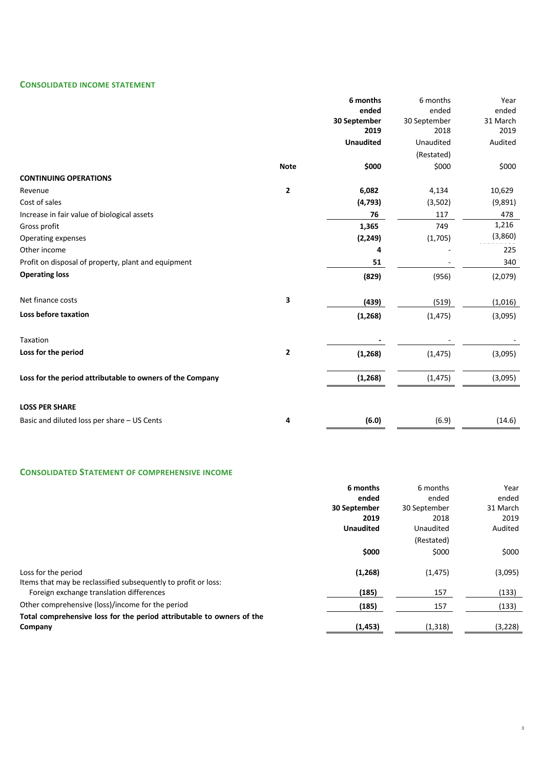# **CONSOLIDATED INCOME STATEMENT**

|                                                           |              | 6 months         | 6 months     | Year     |
|-----------------------------------------------------------|--------------|------------------|--------------|----------|
|                                                           |              | ended            | ended        | ended    |
|                                                           |              | 30 September     | 30 September | 31 March |
|                                                           |              | 2019             | 2018         | 2019     |
|                                                           |              | <b>Unaudited</b> | Unaudited    | Audited  |
|                                                           |              |                  | (Restated)   |          |
|                                                           | <b>Note</b>  | \$000            | \$000        | \$000    |
| <b>CONTINUING OPERATIONS</b>                              |              |                  |              |          |
| Revenue                                                   | $\mathbf{2}$ | 6,082            | 4,134        | 10,629   |
| Cost of sales                                             |              | (4, 793)         | (3,502)      | (9,891)  |
| Increase in fair value of biological assets               |              | 76               | 117          | 478      |
| Gross profit                                              |              | 1,365            | 749          | 1,216    |
| Operating expenses                                        |              | (2, 249)         | (1,705)      | (3,860)  |
| Other income                                              |              | 4                |              | 225      |
| Profit on disposal of property, plant and equipment       |              | 51               |              | 340      |
| <b>Operating loss</b>                                     |              | (829)            | (956)        | (2,079)  |
| Net finance costs                                         | 3            | (439)            | (519)        | (1,016)  |
| Loss before taxation                                      |              | (1, 268)         | (1, 475)     | (3,095)  |
| Taxation                                                  |              |                  |              |          |
| Loss for the period                                       | $\mathbf{2}$ | (1, 268)         | (1, 475)     | (3,095)  |
| Loss for the period attributable to owners of the Company |              | (1, 268)         | (1, 475)     | (3,095)  |
|                                                           |              |                  |              |          |
| <b>LOSS PER SHARE</b>                                     |              |                  |              |          |
| Basic and diluted loss per share - US Cents               | 4            | (6.0)            | (6.9)        | (14.6)   |

# **CONSOLIDATED STATEMENT OF COMPREHENSIVE INCOME**

|                                                                       | 6 months         | 6 months     | Year     |
|-----------------------------------------------------------------------|------------------|--------------|----------|
|                                                                       | ended            | ended        | ended    |
|                                                                       | 30 September     | 30 September | 31 March |
|                                                                       | 2019             | 2018         | 2019     |
|                                                                       | <b>Unaudited</b> | Unaudited    | Audited  |
|                                                                       |                  | (Restated)   |          |
|                                                                       | \$000            | \$000        | \$000    |
| Loss for the period                                                   | (1,268)          | (1, 475)     | (3,095)  |
| Items that may be reclassified subsequently to profit or loss:        |                  |              |          |
| Foreign exchange translation differences                              | (185)            | 157          | (133)    |
| Other comprehensive (loss)/income for the period                      | (185)            | 157          | (133)    |
| Total comprehensive loss for the period attributable to owners of the |                  |              |          |
| Company                                                               | (1, 453)         | (1, 318)     | (3,228)  |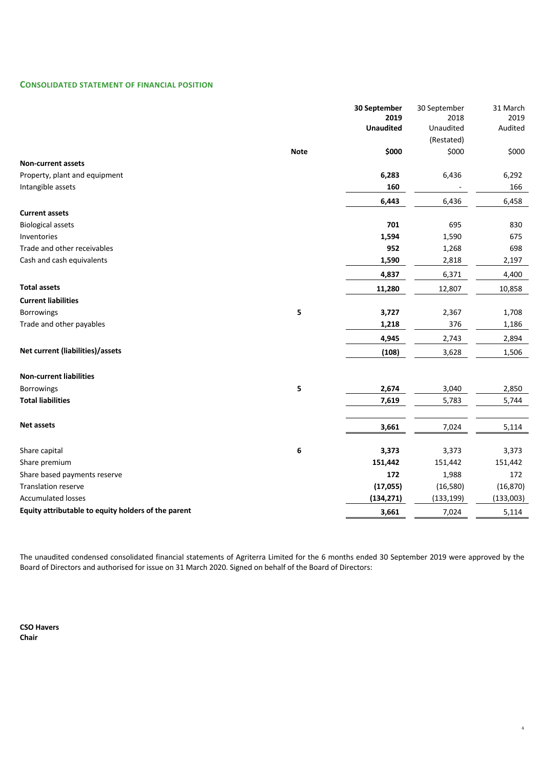# **CONSOLIDATED STATEMENT OF FINANCIAL POSITION**

|                                                     |             | 30 September<br>2019 | 30 September<br>2018 | 31 March<br>2019 |
|-----------------------------------------------------|-------------|----------------------|----------------------|------------------|
|                                                     |             | <b>Unaudited</b>     | Unaudited            | Audited          |
|                                                     |             |                      | (Restated)           |                  |
|                                                     | <b>Note</b> | \$000                | \$000                | \$000            |
| <b>Non-current assets</b>                           |             |                      |                      |                  |
| Property, plant and equipment                       |             | 6,283                | 6,436                | 6,292            |
| Intangible assets                                   |             | 160                  |                      | 166              |
|                                                     |             | 6,443                | 6,436                | 6,458            |
| <b>Current assets</b>                               |             |                      |                      |                  |
| <b>Biological assets</b>                            |             | 701                  | 695                  | 830              |
| Inventories                                         |             | 1,594                | 1,590                | 675              |
| Trade and other receivables                         |             | 952                  | 1,268                | 698              |
| Cash and cash equivalents                           |             | 1,590                | 2,818                | 2,197            |
|                                                     |             | 4,837                | 6,371                | 4,400            |
| <b>Total assets</b>                                 |             | 11,280               | 12,807               | 10,858           |
| <b>Current liabilities</b>                          |             |                      |                      |                  |
| <b>Borrowings</b>                                   | 5           | 3,727                | 2,367                | 1,708            |
| Trade and other payables                            |             | 1,218                | 376                  | 1,186            |
|                                                     |             | 4,945                | 2,743                | 2,894            |
| Net current (liabilities)/assets                    |             | (108)                | 3,628                | 1,506            |
| <b>Non-current liabilities</b>                      |             |                      |                      |                  |
| Borrowings                                          | 5           | 2,674                | 3,040                | 2,850            |
| <b>Total liabilities</b>                            |             | 7,619                | 5,783                | 5,744            |
|                                                     |             |                      |                      |                  |
| <b>Net assets</b>                                   |             | 3,661                | 7,024                | 5,114            |
|                                                     |             |                      |                      |                  |
| Share capital                                       | 6           | 3,373                | 3,373                | 3,373            |
| Share premium                                       |             | 151,442              | 151,442              | 151,442          |
| Share based payments reserve                        |             | 172                  | 1,988                | 172              |
| <b>Translation reserve</b>                          |             | (17, 055)            | (16,580)             | (16, 870)        |
| <b>Accumulated losses</b>                           |             | (134, 271)           | (133, 199)           | (133,003)        |
| Equity attributable to equity holders of the parent |             | 3,661                | 7,024                | 5,114            |

The unaudited condensed consolidated financial statements of Agriterra Limited for the 6 months ended 30 September 2019 were approved by the Board of Directors and authorised for issue on 31 March 2020. Signed on behalf of the Board of Directors:

4

**CSO Havers Chair**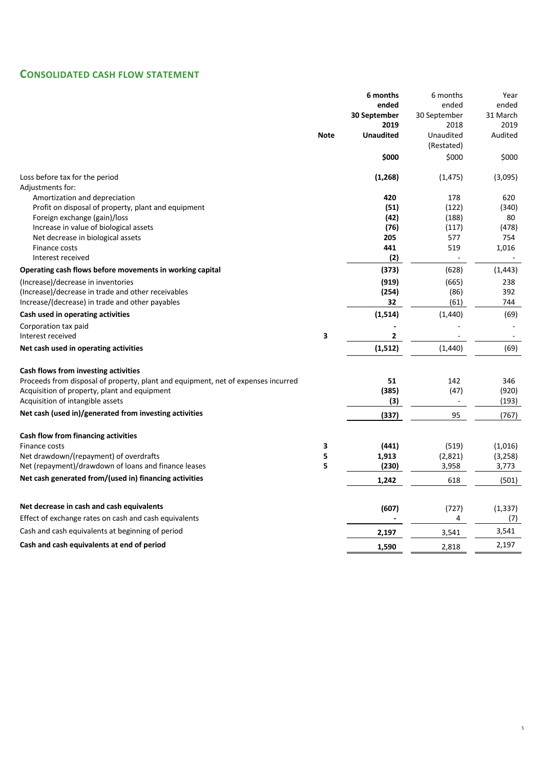# **CONSOLIDATED CASH FLOW STATEMENT**

| ended<br>ended<br>ended<br>30 September<br>30 September<br>31 March<br>2019<br>2018<br>2019<br><b>Unaudited</b><br><b>Note</b><br>Unaudited<br>Audited<br>(Restated)<br>\$000<br>\$000<br>\$000<br>Loss before tax for the period<br>(1, 268)<br>(1, 475)<br>(3,095)<br>Adjustments for:<br>420<br>Amortization and depreciation<br>178<br>620<br>Profit on disposal of property, plant and equipment<br>(51)<br>(122)<br>(340)<br>Foreign exchange (gain)/loss<br>(42)<br>(188)<br>80<br>Increase in value of biological assets<br>(76)<br>(478)<br>(117)<br>Net decrease in biological assets<br>205<br>577<br>754<br>441<br>519<br>1,016<br>Finance costs<br>(2)<br>Interest received<br>(373)<br>(628)<br>(1, 443)<br>Operating cash flows before movements in working capital<br>(Increase)/decrease in inventories<br>(919)<br>(665)<br>238<br>(254)<br>(86)<br>392<br>(Increase)/decrease in trade and other receivables<br>32<br>Increase/(decrease) in trade and other payables<br>(61)<br>744<br>Cash used in operating activities<br>(1,514)<br>(1,440)<br>(69)<br>Corporation tax paid<br>3<br>Interest received<br>2<br>(1, 512)<br>(1,440)<br>(69)<br>Net cash used in operating activities<br>Cash flows from investing activities<br>Proceeds from disposal of property, plant and equipment, net of expenses incurred<br>51<br>142<br>346<br>(385)<br>Acquisition of property, plant and equipment<br>(47)<br>(920)<br>Acquisition of intangible assets<br>(3)<br>(193)<br>$\overline{a}$<br>Net cash (used in)/generated from investing activities<br>(337)<br>95<br>(767)<br>Cash flow from financing activities<br>Finance costs<br>3<br>(441)<br>(519)<br>(1,016)<br>Net drawdown/(repayment) of overdrafts<br>5<br>1,913<br>(2,821)<br>(3, 258)<br>5<br>Net (repayment)/drawdown of loans and finance leases<br>(230)<br>3,958<br>3,773<br>Net cash generated from/(used in) financing activities<br>618<br>1,242<br>(501)<br>Net decrease in cash and cash equivalents<br>(607)<br>(727)<br>(1, 337)<br>4<br>Effect of exchange rates on cash and cash equivalents<br>(7)<br>Cash and cash equivalents at beginning of period<br>3,541<br>2,197<br>3,541<br>Cash and cash equivalents at end of period<br>2,197<br>1,590<br>2,818 |  | 6 months | 6 months | Year |
|----------------------------------------------------------------------------------------------------------------------------------------------------------------------------------------------------------------------------------------------------------------------------------------------------------------------------------------------------------------------------------------------------------------------------------------------------------------------------------------------------------------------------------------------------------------------------------------------------------------------------------------------------------------------------------------------------------------------------------------------------------------------------------------------------------------------------------------------------------------------------------------------------------------------------------------------------------------------------------------------------------------------------------------------------------------------------------------------------------------------------------------------------------------------------------------------------------------------------------------------------------------------------------------------------------------------------------------------------------------------------------------------------------------------------------------------------------------------------------------------------------------------------------------------------------------------------------------------------------------------------------------------------------------------------------------------------------------------------------------------------------------------------------------------------------------------------------------------------------------------------------------------------------------------------------------------------------------------------------------------------------------------------------------------------------------------------------------------------------------------------------------------------------------------------------------------------------------------------------------------------------|--|----------|----------|------|
|                                                                                                                                                                                                                                                                                                                                                                                                                                                                                                                                                                                                                                                                                                                                                                                                                                                                                                                                                                                                                                                                                                                                                                                                                                                                                                                                                                                                                                                                                                                                                                                                                                                                                                                                                                                                                                                                                                                                                                                                                                                                                                                                                                                                                                                          |  |          |          |      |
|                                                                                                                                                                                                                                                                                                                                                                                                                                                                                                                                                                                                                                                                                                                                                                                                                                                                                                                                                                                                                                                                                                                                                                                                                                                                                                                                                                                                                                                                                                                                                                                                                                                                                                                                                                                                                                                                                                                                                                                                                                                                                                                                                                                                                                                          |  |          |          |      |
|                                                                                                                                                                                                                                                                                                                                                                                                                                                                                                                                                                                                                                                                                                                                                                                                                                                                                                                                                                                                                                                                                                                                                                                                                                                                                                                                                                                                                                                                                                                                                                                                                                                                                                                                                                                                                                                                                                                                                                                                                                                                                                                                                                                                                                                          |  |          |          |      |
|                                                                                                                                                                                                                                                                                                                                                                                                                                                                                                                                                                                                                                                                                                                                                                                                                                                                                                                                                                                                                                                                                                                                                                                                                                                                                                                                                                                                                                                                                                                                                                                                                                                                                                                                                                                                                                                                                                                                                                                                                                                                                                                                                                                                                                                          |  |          |          |      |
|                                                                                                                                                                                                                                                                                                                                                                                                                                                                                                                                                                                                                                                                                                                                                                                                                                                                                                                                                                                                                                                                                                                                                                                                                                                                                                                                                                                                                                                                                                                                                                                                                                                                                                                                                                                                                                                                                                                                                                                                                                                                                                                                                                                                                                                          |  |          |          |      |
|                                                                                                                                                                                                                                                                                                                                                                                                                                                                                                                                                                                                                                                                                                                                                                                                                                                                                                                                                                                                                                                                                                                                                                                                                                                                                                                                                                                                                                                                                                                                                                                                                                                                                                                                                                                                                                                                                                                                                                                                                                                                                                                                                                                                                                                          |  |          |          |      |
|                                                                                                                                                                                                                                                                                                                                                                                                                                                                                                                                                                                                                                                                                                                                                                                                                                                                                                                                                                                                                                                                                                                                                                                                                                                                                                                                                                                                                                                                                                                                                                                                                                                                                                                                                                                                                                                                                                                                                                                                                                                                                                                                                                                                                                                          |  |          |          |      |
|                                                                                                                                                                                                                                                                                                                                                                                                                                                                                                                                                                                                                                                                                                                                                                                                                                                                                                                                                                                                                                                                                                                                                                                                                                                                                                                                                                                                                                                                                                                                                                                                                                                                                                                                                                                                                                                                                                                                                                                                                                                                                                                                                                                                                                                          |  |          |          |      |
|                                                                                                                                                                                                                                                                                                                                                                                                                                                                                                                                                                                                                                                                                                                                                                                                                                                                                                                                                                                                                                                                                                                                                                                                                                                                                                                                                                                                                                                                                                                                                                                                                                                                                                                                                                                                                                                                                                                                                                                                                                                                                                                                                                                                                                                          |  |          |          |      |
|                                                                                                                                                                                                                                                                                                                                                                                                                                                                                                                                                                                                                                                                                                                                                                                                                                                                                                                                                                                                                                                                                                                                                                                                                                                                                                                                                                                                                                                                                                                                                                                                                                                                                                                                                                                                                                                                                                                                                                                                                                                                                                                                                                                                                                                          |  |          |          |      |
|                                                                                                                                                                                                                                                                                                                                                                                                                                                                                                                                                                                                                                                                                                                                                                                                                                                                                                                                                                                                                                                                                                                                                                                                                                                                                                                                                                                                                                                                                                                                                                                                                                                                                                                                                                                                                                                                                                                                                                                                                                                                                                                                                                                                                                                          |  |          |          |      |
|                                                                                                                                                                                                                                                                                                                                                                                                                                                                                                                                                                                                                                                                                                                                                                                                                                                                                                                                                                                                                                                                                                                                                                                                                                                                                                                                                                                                                                                                                                                                                                                                                                                                                                                                                                                                                                                                                                                                                                                                                                                                                                                                                                                                                                                          |  |          |          |      |
|                                                                                                                                                                                                                                                                                                                                                                                                                                                                                                                                                                                                                                                                                                                                                                                                                                                                                                                                                                                                                                                                                                                                                                                                                                                                                                                                                                                                                                                                                                                                                                                                                                                                                                                                                                                                                                                                                                                                                                                                                                                                                                                                                                                                                                                          |  |          |          |      |
|                                                                                                                                                                                                                                                                                                                                                                                                                                                                                                                                                                                                                                                                                                                                                                                                                                                                                                                                                                                                                                                                                                                                                                                                                                                                                                                                                                                                                                                                                                                                                                                                                                                                                                                                                                                                                                                                                                                                                                                                                                                                                                                                                                                                                                                          |  |          |          |      |
|                                                                                                                                                                                                                                                                                                                                                                                                                                                                                                                                                                                                                                                                                                                                                                                                                                                                                                                                                                                                                                                                                                                                                                                                                                                                                                                                                                                                                                                                                                                                                                                                                                                                                                                                                                                                                                                                                                                                                                                                                                                                                                                                                                                                                                                          |  |          |          |      |
|                                                                                                                                                                                                                                                                                                                                                                                                                                                                                                                                                                                                                                                                                                                                                                                                                                                                                                                                                                                                                                                                                                                                                                                                                                                                                                                                                                                                                                                                                                                                                                                                                                                                                                                                                                                                                                                                                                                                                                                                                                                                                                                                                                                                                                                          |  |          |          |      |
|                                                                                                                                                                                                                                                                                                                                                                                                                                                                                                                                                                                                                                                                                                                                                                                                                                                                                                                                                                                                                                                                                                                                                                                                                                                                                                                                                                                                                                                                                                                                                                                                                                                                                                                                                                                                                                                                                                                                                                                                                                                                                                                                                                                                                                                          |  |          |          |      |
|                                                                                                                                                                                                                                                                                                                                                                                                                                                                                                                                                                                                                                                                                                                                                                                                                                                                                                                                                                                                                                                                                                                                                                                                                                                                                                                                                                                                                                                                                                                                                                                                                                                                                                                                                                                                                                                                                                                                                                                                                                                                                                                                                                                                                                                          |  |          |          |      |
|                                                                                                                                                                                                                                                                                                                                                                                                                                                                                                                                                                                                                                                                                                                                                                                                                                                                                                                                                                                                                                                                                                                                                                                                                                                                                                                                                                                                                                                                                                                                                                                                                                                                                                                                                                                                                                                                                                                                                                                                                                                                                                                                                                                                                                                          |  |          |          |      |
|                                                                                                                                                                                                                                                                                                                                                                                                                                                                                                                                                                                                                                                                                                                                                                                                                                                                                                                                                                                                                                                                                                                                                                                                                                                                                                                                                                                                                                                                                                                                                                                                                                                                                                                                                                                                                                                                                                                                                                                                                                                                                                                                                                                                                                                          |  |          |          |      |
|                                                                                                                                                                                                                                                                                                                                                                                                                                                                                                                                                                                                                                                                                                                                                                                                                                                                                                                                                                                                                                                                                                                                                                                                                                                                                                                                                                                                                                                                                                                                                                                                                                                                                                                                                                                                                                                                                                                                                                                                                                                                                                                                                                                                                                                          |  |          |          |      |
|                                                                                                                                                                                                                                                                                                                                                                                                                                                                                                                                                                                                                                                                                                                                                                                                                                                                                                                                                                                                                                                                                                                                                                                                                                                                                                                                                                                                                                                                                                                                                                                                                                                                                                                                                                                                                                                                                                                                                                                                                                                                                                                                                                                                                                                          |  |          |          |      |
|                                                                                                                                                                                                                                                                                                                                                                                                                                                                                                                                                                                                                                                                                                                                                                                                                                                                                                                                                                                                                                                                                                                                                                                                                                                                                                                                                                                                                                                                                                                                                                                                                                                                                                                                                                                                                                                                                                                                                                                                                                                                                                                                                                                                                                                          |  |          |          |      |
|                                                                                                                                                                                                                                                                                                                                                                                                                                                                                                                                                                                                                                                                                                                                                                                                                                                                                                                                                                                                                                                                                                                                                                                                                                                                                                                                                                                                                                                                                                                                                                                                                                                                                                                                                                                                                                                                                                                                                                                                                                                                                                                                                                                                                                                          |  |          |          |      |
|                                                                                                                                                                                                                                                                                                                                                                                                                                                                                                                                                                                                                                                                                                                                                                                                                                                                                                                                                                                                                                                                                                                                                                                                                                                                                                                                                                                                                                                                                                                                                                                                                                                                                                                                                                                                                                                                                                                                                                                                                                                                                                                                                                                                                                                          |  |          |          |      |
|                                                                                                                                                                                                                                                                                                                                                                                                                                                                                                                                                                                                                                                                                                                                                                                                                                                                                                                                                                                                                                                                                                                                                                                                                                                                                                                                                                                                                                                                                                                                                                                                                                                                                                                                                                                                                                                                                                                                                                                                                                                                                                                                                                                                                                                          |  |          |          |      |
|                                                                                                                                                                                                                                                                                                                                                                                                                                                                                                                                                                                                                                                                                                                                                                                                                                                                                                                                                                                                                                                                                                                                                                                                                                                                                                                                                                                                                                                                                                                                                                                                                                                                                                                                                                                                                                                                                                                                                                                                                                                                                                                                                                                                                                                          |  |          |          |      |
|                                                                                                                                                                                                                                                                                                                                                                                                                                                                                                                                                                                                                                                                                                                                                                                                                                                                                                                                                                                                                                                                                                                                                                                                                                                                                                                                                                                                                                                                                                                                                                                                                                                                                                                                                                                                                                                                                                                                                                                                                                                                                                                                                                                                                                                          |  |          |          |      |
|                                                                                                                                                                                                                                                                                                                                                                                                                                                                                                                                                                                                                                                                                                                                                                                                                                                                                                                                                                                                                                                                                                                                                                                                                                                                                                                                                                                                                                                                                                                                                                                                                                                                                                                                                                                                                                                                                                                                                                                                                                                                                                                                                                                                                                                          |  |          |          |      |
|                                                                                                                                                                                                                                                                                                                                                                                                                                                                                                                                                                                                                                                                                                                                                                                                                                                                                                                                                                                                                                                                                                                                                                                                                                                                                                                                                                                                                                                                                                                                                                                                                                                                                                                                                                                                                                                                                                                                                                                                                                                                                                                                                                                                                                                          |  |          |          |      |
|                                                                                                                                                                                                                                                                                                                                                                                                                                                                                                                                                                                                                                                                                                                                                                                                                                                                                                                                                                                                                                                                                                                                                                                                                                                                                                                                                                                                                                                                                                                                                                                                                                                                                                                                                                                                                                                                                                                                                                                                                                                                                                                                                                                                                                                          |  |          |          |      |
|                                                                                                                                                                                                                                                                                                                                                                                                                                                                                                                                                                                                                                                                                                                                                                                                                                                                                                                                                                                                                                                                                                                                                                                                                                                                                                                                                                                                                                                                                                                                                                                                                                                                                                                                                                                                                                                                                                                                                                                                                                                                                                                                                                                                                                                          |  |          |          |      |
|                                                                                                                                                                                                                                                                                                                                                                                                                                                                                                                                                                                                                                                                                                                                                                                                                                                                                                                                                                                                                                                                                                                                                                                                                                                                                                                                                                                                                                                                                                                                                                                                                                                                                                                                                                                                                                                                                                                                                                                                                                                                                                                                                                                                                                                          |  |          |          |      |
|                                                                                                                                                                                                                                                                                                                                                                                                                                                                                                                                                                                                                                                                                                                                                                                                                                                                                                                                                                                                                                                                                                                                                                                                                                                                                                                                                                                                                                                                                                                                                                                                                                                                                                                                                                                                                                                                                                                                                                                                                                                                                                                                                                                                                                                          |  |          |          |      |
|                                                                                                                                                                                                                                                                                                                                                                                                                                                                                                                                                                                                                                                                                                                                                                                                                                                                                                                                                                                                                                                                                                                                                                                                                                                                                                                                                                                                                                                                                                                                                                                                                                                                                                                                                                                                                                                                                                                                                                                                                                                                                                                                                                                                                                                          |  |          |          |      |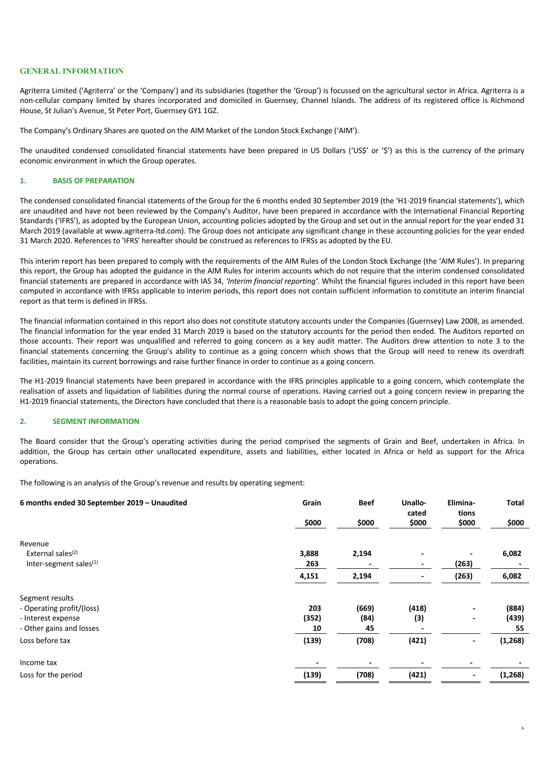## **GENERAL INFORMATION**

Agriterra Limited ('Agriterra' or the 'Company') and its subsidiaries (together the 'Group') is focussed on the agricultural sector in Africa. Agriterra is a non-cellular company limited by shares incorporated and domiciled in Guernsey, Channel Islands. The address of its registered office is Richmond House, St Julian's Avenue, St Peter Port, Guernsey GY1 1GZ.

The Company's Ordinary Shares are quoted on the AIM Market of the London Stock Exchange ('AIM').

The unaudited condensed consolidated financial statements have been prepared in US Dollars ('US\$' or '\$') as this is the currency of the primary economic environment in which the Group operates.

#### **1. BASIS OF PREPARATION**

The condensed consolidated financial statements of the Group for the 6 months ended 30 September 2019 (the 'H1-2019 financial statements'), which are unaudited and have not been reviewed by the Company's Auditor, have been prepared in accordance with the International Financial Reporting Standards ('IFRS'), as adopted by the European Union, accounting policies adopted by the Group and set out in the annual report for the year ended 31 March 2019 (available at www.agriterra-ltd.com). The Group does not anticipate any significant change in these accounting policies for the year ended 31 March 2020. References to 'IFRS' hereafter should be construed as references to IFRSs as adopted by the EU.

This interim report has been prepared to comply with the requirements of the AIM Rules of the London Stock Exchange (the 'AIM Rules'). In preparing this report, the Group has adopted the guidance in the AIM Rules for interim accounts which do not require that the interim condensed consolidated financial statements are prepared in accordance with IAS 34, *'Interim financial reporting'*. Whilst the financial figures included in this report have been computed in accordance with IFRSs applicable to interim periods, this report does not contain sufficient information to constitute an interim financial report as that term is defined in IFRSs.

The financial information contained in this report also does not constitute statutory accounts under the Companies (Guernsey) Law 2008, as amended. The financial information for the year ended 31 March 2019 is based on the statutory accounts for the period then ended. The Auditors reported on those accounts. Their report was unqualified and referred to going concern as a key audit matter. The Auditors drew attention to note 3 to the financial statements concerning the Group's ability to continue as a going concern which shows that the Group will need to renew its overdraft facilities, maintain its current borrowings and raise further finance in order to continue as a going concern.

The H1-2019 financial statements have been prepared in accordance with the IFRS principles applicable to a going concern, which contemplate the realisation of assets and liquidation of liabilities during the normal course of operations. Having carried out a going concern review in preparing the H1-2019 financial statements, the Directors have concluded that there is a reasonable basis to adopt the going concern principle.

### **2. SEGMENT INFORMATION**

The Board consider that the Group's operating activities during the period comprised the segments of Grain and Beef, undertaken in Africa. In addition, the Group has certain other unallocated expenditure, assets and liabilities, either located in Africa or held as support for the Africa operations.

The following is an analysis of the Group's revenue and results by operating segment:

| 6 months ended 30 September 2019 - Unaudited | Grain<br>\$000 | <b>Beef</b><br>\$000 | Unallo-<br>cated<br>\$000 | Elimina-<br>tions<br>\$000 | <b>Total</b><br>\$000 |
|----------------------------------------------|----------------|----------------------|---------------------------|----------------------------|-----------------------|
| Revenue                                      |                |                      |                           |                            |                       |
| External sales <sup>(2)</sup>                | 3,888          | 2,194                |                           |                            | 6,082                 |
| Inter-segment sales $(1)$                    | 263            |                      | $\blacksquare$            | (263)                      |                       |
|                                              | 4,151          | 2,194                |                           | (263)                      | 6,082                 |
| Segment results                              |                |                      |                           |                            |                       |
| - Operating profit/(loss)                    | 203            | (669)                | (418)                     |                            | (884)                 |
| - Interest expense                           | (352)          | (84)                 | (3)                       |                            | (439)                 |
| - Other gains and losses                     | 10             | 45                   |                           |                            | 55                    |
| Loss before tax                              | (139)          | (708)                | (421)                     |                            | (1, 268)              |
| Income tax                                   |                |                      |                           |                            |                       |
| Loss for the period                          | (139)          | (708)                | (421)                     |                            | (1, 268)              |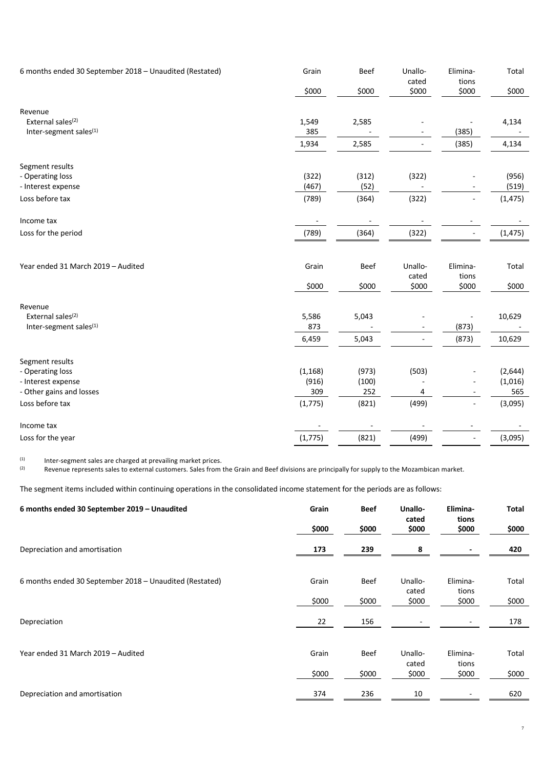| 6 months ended 30 September 2018 - Unaudited (Restated) | Grain                    | <b>Beef</b>              | Unallo-<br>cated | Elimina-<br>tions        | Total    |
|---------------------------------------------------------|--------------------------|--------------------------|------------------|--------------------------|----------|
|                                                         | \$000                    | \$000                    | \$000            | \$000                    | \$000    |
| Revenue                                                 |                          |                          |                  |                          |          |
| External sales <sup>(2)</sup>                           | 1,549                    | 2,585                    |                  |                          | 4,134    |
| Inter-segment sales <sup>(1)</sup>                      | 385                      |                          |                  | (385)                    |          |
|                                                         | 1,934                    | 2,585                    |                  | (385)                    | 4,134    |
| Segment results                                         |                          |                          |                  |                          |          |
| - Operating loss                                        | (322)                    | (312)                    | (322)            |                          | (956)    |
| - Interest expense                                      | (467)                    | (52)                     |                  |                          | (519)    |
| Loss before tax                                         | (789)                    | (364)                    | (322)            | ÷,                       | (1, 475) |
| Income tax                                              | $\overline{\phantom{a}}$ | $\overline{\phantom{a}}$ |                  | $\overline{\phantom{a}}$ |          |
| Loss for the period                                     | (789)                    | (364)                    | (322)            | $\blacksquare$           | (1, 475) |
|                                                         |                          |                          |                  |                          |          |
| Year ended 31 March 2019 - Audited                      | Grain                    | <b>Beef</b>              | Unallo-          | Elimina-                 | Total    |
|                                                         |                          |                          | cated            | tions                    |          |
|                                                         | \$000                    | \$000                    | \$000            | \$000                    | \$000    |
| Revenue                                                 |                          |                          |                  |                          |          |
| External sales <sup>(2)</sup>                           | 5,586                    | 5,043                    |                  |                          | 10,629   |
| Inter-segment sales <sup>(1)</sup>                      | 873                      |                          |                  | (873)                    |          |
|                                                         | 6,459                    | 5,043                    |                  | (873)                    | 10,629   |
| Segment results                                         |                          |                          |                  |                          |          |
| - Operating loss                                        | (1, 168)                 | (973)                    | (503)            |                          | (2,644)  |
| - Interest expense                                      | (916)                    | (100)                    |                  | $\overline{\phantom{a}}$ | (1,016)  |
| - Other gains and losses                                | 309                      | 252                      | 4                | $\overline{\phantom{a}}$ | 565      |
| Loss before tax                                         | (1, 775)                 | (821)                    | (499)            | $\overline{\phantom{a}}$ | (3,095)  |
| Income tax                                              |                          |                          |                  | $\overline{\phantom{a}}$ |          |
| Loss for the year                                       | (1, 775)                 | (821)                    | (499)            | $\overline{\phantom{a}}$ | (3,095)  |

(1) Inter-segment sales are charged at prevailing market prices.<br>(2) Revenue represents sales to external customers. Sales from t

Revenue represents sales to external customers. Sales from the Grain and Beef divisions are principally for supply to the Mozambican market.

The segment items included within continuing operations in the consolidated income statement for the periods are as follows:

| 6 months ended 30 September 2019 - Unaudited            | Grain | <b>Beef</b> | Unallo-        | Elimina-       | Total |
|---------------------------------------------------------|-------|-------------|----------------|----------------|-------|
|                                                         | \$000 | \$000       | cated<br>\$000 | tions<br>\$000 | \$000 |
| Depreciation and amortisation                           | 173   | 239         | 8              |                | 420   |
|                                                         |       |             |                |                |       |
| 6 months ended 30 September 2018 - Unaudited (Restated) | Grain | Beef        | Unallo-        | Elimina-       | Total |
|                                                         | \$000 | \$000       | cated<br>\$000 | tions<br>\$000 | \$000 |
| Depreciation                                            | 22    | 156         |                |                | 178   |
|                                                         |       |             |                |                |       |
| Year ended 31 March 2019 - Audited                      | Grain | Beef        | Unallo-        | Elimina-       | Total |
|                                                         | \$000 | \$000       | cated<br>\$000 | tions<br>\$000 | \$000 |
| Depreciation and amortisation                           | 374   | 236         | 10             |                | 620   |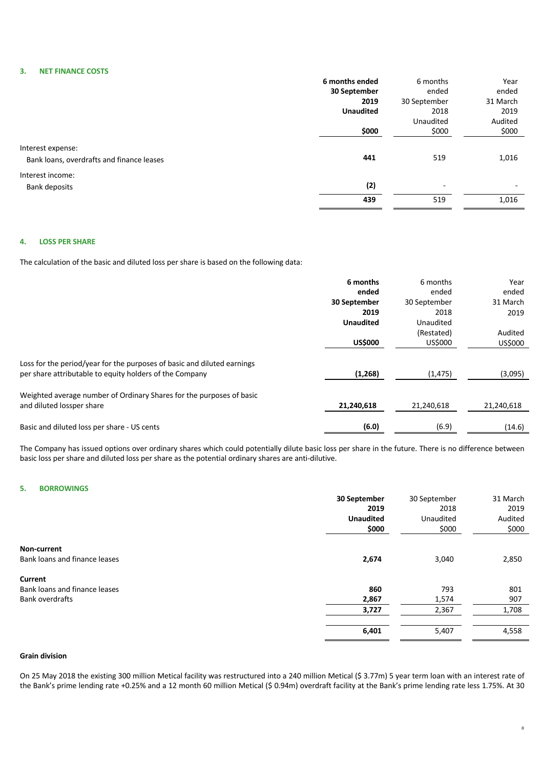### **3. NET FINANCE COSTS**

|                                                                | 6 months ended   | 6 months                 | Year                     |
|----------------------------------------------------------------|------------------|--------------------------|--------------------------|
|                                                                | 30 September     | ended                    | ended                    |
|                                                                | 2019             | 30 September             | 31 March                 |
|                                                                | <b>Unaudited</b> | 2018                     | 2019                     |
|                                                                |                  | Unaudited                | Audited                  |
|                                                                | \$000            | \$000                    | \$000                    |
| Interest expense:<br>Bank loans, overdrafts and finance leases | 441              | 519                      | 1,016                    |
| Interest income:                                               |                  |                          |                          |
| Bank deposits                                                  | (2)              | $\overline{\phantom{a}}$ | $\overline{\phantom{0}}$ |
|                                                                | 439              | 519                      | 1,016                    |

### **4. LOSS PER SHARE**

The calculation of the basic and diluted loss per share is based on the following data:

|                                                                                                                                    | 6 months         | 6 months     | Year       |
|------------------------------------------------------------------------------------------------------------------------------------|------------------|--------------|------------|
|                                                                                                                                    | ended            | ended        | ended      |
|                                                                                                                                    | 30 September     | 30 September | 31 March   |
|                                                                                                                                    | 2019             | 2018         | 2019       |
|                                                                                                                                    | <b>Unaudited</b> | Unaudited    |            |
|                                                                                                                                    |                  | (Restated)   | Audited    |
|                                                                                                                                    | <b>US\$000</b>   | US\$000      | US\$000    |
| Loss for the period/year for the purposes of basic and diluted earnings<br>per share attributable to equity holders of the Company | (1,268)          | (1, 475)     | (3,095)    |
| Weighted average number of Ordinary Shares for the purposes of basic<br>and diluted lossper share                                  | 21,240,618       | 21,240,618   | 21,240,618 |
| Basic and diluted loss per share - US cents                                                                                        | (6.0)            | (6.9)        | (14.6)     |

The Company has issued options over ordinary shares which could potentially dilute basic loss per share in the future. There is no difference between basic loss per share and diluted loss per share as the potential ordinary shares are anti-dilutive.

# **5. BORROWINGS**

|                               | 30 September     | 30 September | 31 March |
|-------------------------------|------------------|--------------|----------|
|                               | 2019             | 2018         | 2019     |
|                               | <b>Unaudited</b> | Unaudited    | Audited  |
|                               | \$000            | \$000        | \$000    |
| Non-current                   |                  |              |          |
| Bank loans and finance leases | 2,674            | 3,040        | 2,850    |
| Current                       |                  |              |          |
| Bank loans and finance leases | 860              | 793          | 801      |
| <b>Bank overdrafts</b>        | 2,867            | 1,574        | 907      |
|                               | 3,727            | 2,367        | 1,708    |
|                               | 6,401            | 5,407        | 4,558    |
|                               |                  |              |          |

# **Grain division**

On 25 May 2018 the existing 300 million Metical facility was restructured into a 240 million Metical (\$ 3.77m) 5 year term loan with an interest rate of the Bank's prime lending rate +0.25% and a 12 month 60 million Metical (\$ 0.94m) overdraft facility at the Bank's prime lending rate less 1.75%. At 30